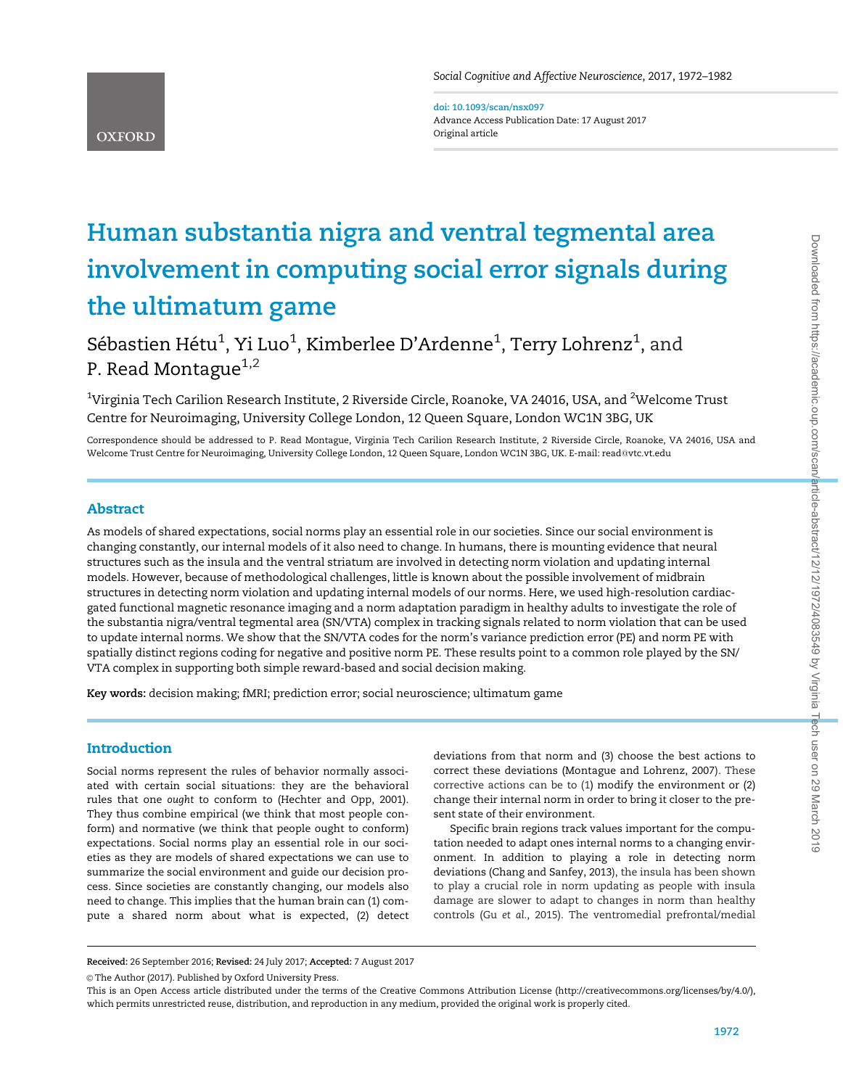doi: 10.1093/scan/nsx097 Advance Access Publication Date: 17 August 2017 Original article

# Human substantia nigra and ventral tegmental area involvement in computing social error signals during the ultimatum game

Sébastien Hétu $^1$ , Yi Luo $^1$ , Kimberlee D'Ardenne $^1$ , Terry Lohrenz $^1$ , and P. Read Montague $1,2$ 

 $^{\rm 1}$ Virginia Tech Carilion Research Institute, 2 Riverside Circle, Roanoke, VA 24016, USA, and  $^{\rm 2}$ Welcome Trust Centre for Neuroimaging, University College London, 12 Queen Square, London WC1N 3BG, UK

Correspondence should be addressed to P. Read Montague, Virginia Tech Carilion Research Institute, 2 Riverside Circle, Roanoke, VA 24016, USA and Welcome Trust Centre for Neuroimaging, University College London, 12 Queen Square, London WC1N 3BG, UK. E-mail: read@vtc.vt.edu

# Abstract

**OXFORD** 

As models of shared expectations, social norms play an essential role in our societies. Since our social environment is changing constantly, our internal models of it also need to change. In humans, there is mounting evidence that neural structures such as the insula and the ventral striatum are involved in detecting norm violation and updating internal models. However, because of methodological challenges, little is known about the possible involvement of midbrain structures in detecting norm violation and updating internal models of our norms. Here, we used high-resolution cardiacgated functional magnetic resonance imaging and a norm adaptation paradigm in healthy adults to investigate the role of the substantia nigra/ventral tegmental area (SN/VTA) complex in tracking signals related to norm violation that can be used to update internal norms. We show that the SN/VTA codes for the norm's variance prediction error (PE) and norm PE with spatially distinct regions coding for negative and positive norm PE. These results point to a common role played by the SN/ VTA complex in supporting both simple reward-based and social decision making.

Key words: decision making; fMRI; prediction error; social neuroscience; ultimatum game

## Introduction

Social norms represent the rules of behavior normally associated with certain social situations: they are the behavioral rules that one ought to conform to (Hechter and Opp, 2001). They thus combine empirical (we think that most people conform) and normative (we think that people ought to conform) expectations. Social norms play an essential role in our societies as they are models of shared expectations we can use to summarize the social environment and guide our decision process. Since societies are constantly changing, our models also need to change. This implies that the human brain can (1) compute a shared norm about what is expected, (2) detect

deviations from that norm and (3) choose the best actions to correct these deviations ([Montague and Lohrenz, 2007\)](#page-10-0). These corrective actions can be to (1) modify the environment or (2) change their internal norm in order to bring it closer to the present state of their environment.

Specific brain regions track values important for the computation needed to adapt ones internal norms to a changing environment. In addition to playing a role in detecting norm deviations ([Chang and Sanfey, 2013\)](#page-9-0), the insula has been shown to play a crucial role in norm updating as people with insula damage are slower to adapt to changes in norm than healthy controls (Gu et al.[, 2015](#page-9-0)). The ventromedial prefrontal/medial

Received: 26 September 2016; Revised: 24 July 2017; Accepted: 7 August 2017

© The Author (2017). Published by Oxford University Press.

This is an Open Access article distributed under the terms of the Creative Commons Attribution License (http://creativecommons.org/licenses/by/4.0/), which permits unrestricted reuse, distribution, and reproduction in any medium, provided the original work is properly cited.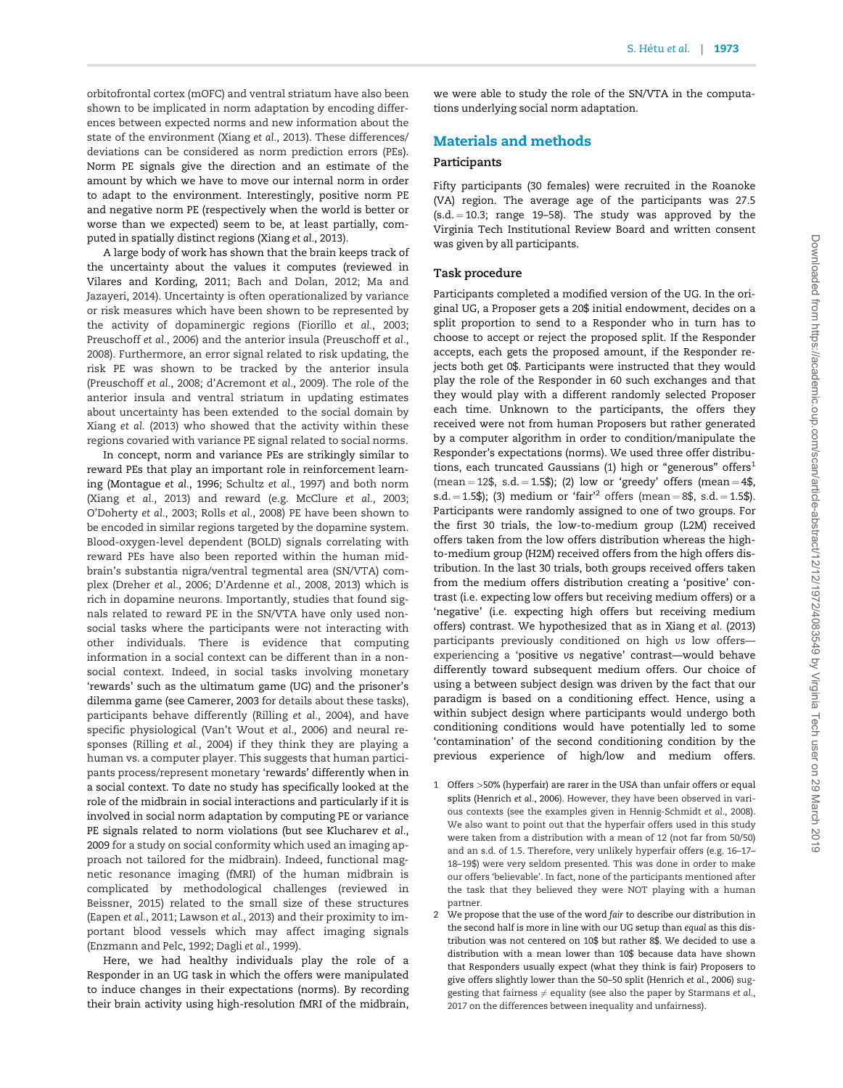orbitofrontal cortex (mOFC) and ventral striatum have also been shown to be implicated in norm adaptation by encoding differences between expected norms and new information about the state of the environment (Xiang et al.[, 2013](#page-10-0)). These differences/ deviations can be considered as norm prediction errors (PEs). Norm PE signals give the direction and an estimate of the amount by which we have to move our internal norm in order to adapt to the environment. Interestingly, positive norm PE and negative norm PE (respectively when the world is better or worse than we expected) seem to be, at least partially, computed in spatially distinct regions ([Xiang](#page-10-0) et al., 2013).

A large body of work has shown that the brain keeps track of the uncertainty about the values it computes (reviewed [in](#page-10-0) [Vilares and Kording, 2011](#page-10-0); [Bach and Dolan, 2012;](#page-9-0) [Ma and](#page-10-0) [Jazayeri, 2014\)](#page-10-0). Uncertainty is often operationalized by variance or risk measures which have been shown to be represented by the activity of dopaminergic regions ([Fiorillo](#page-9-0) et al., 2003; [Preuschoff](#page-10-0) et al., 2006) and the anterior insula [\(Preuschoff](#page-10-0) et al., [2008\)](#page-10-0). Furthermore, an error signal related to risk updating, the risk PE was shown to be tracked by the anterior insula [\(Preuschoff](#page-10-0) et al., 2008; [d'Acremont](#page-9-0) et al., 2009). The role of the anterior insula and ventral striatum in updating estimates about uncertainty has been extended to the social domain by Xiang et al. [\(2013\)](#page-10-0) who showed that the activity within these regions covaried with variance PE signal related to social norms.

In concept, norm and variance PEs are strikingly similar to reward PEs that play an important role in reinforcement learning [\(Montague](#page-10-0) et al., 1996; [Schultz](#page-10-0) et al., 1997) and both norm (Xiang et al.[, 2013](#page-10-0)) and reward (e.g. [McClure](#page-10-0) et al., 2003; [O'Doherty](#page-10-0) et al., 2003; Rolls et al.[, 2008](#page-10-0)) PE have been shown to be encoded in similar regions targeted by the dopamine system. Blood-oxygen-level dependent (BOLD) signals correlating with reward PEs have also been reported within the human midbrain's substantia nigra/ventral tegmental area (SN/VTA) complex [\(Dreher](#page-9-0) et al., 2006; [D'Ardenne](#page-9-0) et al., 2008, [2013\)](#page-9-0) which is rich in dopamine neurons. Importantly, studies that found signals related to reward PE in the SN/VTA have only used nonsocial tasks where the participants were not interacting with other individuals. There is evidence that computing information in a social context can be different than in a nonsocial context. Indeed, in social tasks involving monetary 'rewards' such as the ultimatum game (UG) and the prisoner's dilemma game (see [Camerer, 2003](#page-9-0) for details about these tasks), participants behave differently ([Rilling](#page-10-0) et al., 2004), and have specific physiological ([Van't Wout](#page-10-0) et al., 2006) and neural responses ([Rilling](#page-10-0) et al., 2004) if they think they are playing a human vs. a computer player. This suggests that human participants process/represent monetary 'rewards' differently when in a social context. To date no study has specifically looked at the role of the midbrain in social interactions and particularly if it is involved in social norm adaptation by computing PE or variance PE signals related to norm violations (but see [Klucharev](#page-9-0) et al., [2009](#page-9-0) for a study on social conformity which used an imaging approach not tailored for the midbrain). Indeed, functional magnetic resonance imaging (fMRI) of the human midbrain is complicated by methodological challenges (reviewed in [Beissner, 2015\)](#page-9-0) related to the small size of these structures [\(Eapen](#page-9-0) et al., 2011; [Lawson](#page-10-0) et al., 2013) and their proximity to important blood vessels which may affect imaging signals [\(Enzmann and Pelc, 1992](#page-9-0); Dagli et al.[, 1999\)](#page-9-0).

Here, we had healthy individuals play the role of a Responder in an UG task in which the offers were manipulated to induce changes in their expectations (norms). By recording their brain activity using high-resolution fMRI of the midbrain,

we were able to study the role of the SN/VTA in the computations underlying social norm adaptation.

### Materials and methods

#### Participants

Fifty participants (30 females) were recruited in the Roanoke (VA) region. The average age of the participants was 27.5  $(s.d. = 10.3;$  range 19-58). The study was approved by the Virginia Tech Institutional Review Board and written consent was given by all participants.

#### Task procedure

Participants completed a modified version of the UG. In the original UG, a Proposer gets a 20\$ initial endowment, decides on a split proportion to send to a Responder who in turn has to choose to accept or reject the proposed split. If the Responder accepts, each gets the proposed amount, if the Responder rejects both get 0\$. Participants were instructed that they would play the role of the Responder in 60 such exchanges and that they would play with a different randomly selected Proposer each time. Unknown to the participants, the offers they received were not from human Proposers but rather generated by a computer algorithm in order to condition/manipulate the Responder's expectations (norms). We used three offer distributions, each truncated Gaussians (1) high or "generous" offers $<sup>1</sup>$ </sup> (mean  $= 12\$ , s.d.  $= 1.5\$ ); (2) low or 'greedy' offers (mean  $= 4\$ s.d. = 1.5\$); (3) medium or 'fair<sup>'2</sup> offers (mean = 8\$, s.d. = 1.5\$). Participants were randomly assigned to one of two groups. For the first 30 trials, the low-to-medium group (L2M) received offers taken from the low offers distribution whereas the highto-medium group (H2M) received offers from the high offers distribution. In the last 30 trials, both groups received offers taken from the medium offers distribution creating a 'positive' contrast (i.e. expecting low offers but receiving medium offers) or a 'negative' (i.e. expecting high offers but receiving medium offers) contrast. We hypothesized that as in Xiang et al. [\(2013\)](#page-10-0) participants previously conditioned on high vs low offers experiencing a 'positive vs negative' contrast—would behave differently toward subsequent medium offers. Our choice of using a between subject design was driven by the fact that our paradigm is based on a conditioning effect. Hence, using a within subject design where participants would undergo both conditioning conditions would have potentially led to some 'contamination' of the second conditioning condition by the previous experience of high/low and medium offers.

- 1 Offers >50% (hyperfair) are rarer in the USA than unfair offers or equal splits [\(Henrich](#page-9-0) et al., 2006). However, they have been observed in various contexts (see the examples given in [Hennig-Schmidt](#page-9-0) et al., 2008). We also want to point out that the hyperfair offers used in this study were taken from a distribution with a mean of 12 (not far from 50/50) and an s.d. of 1.5. Therefore, very unlikely hyperfair offers (e.g. 16–17– 18–19\$) were very seldom presented. This was done in order to make our offers 'believable'. In fact, none of the participants mentioned after the task that they believed they were NOT playing with a human partner.
- 2 We propose that the use of the word fair to describe our distribution in the second half is more in line with our UG setup than equal as this distribution was not centered on 10\$ but rather 8\$. We decided to use a distribution with a mean lower than 10\$ because data have shown that Responders usually expect (what they think is fair) Proposers to give offers slightly lower than the 50–50 split ([Henrich](#page-9-0) et al., 2006) suggesting that fairness  $\neq$  equality (see also the paper by [Starmans](#page-10-0) et al., [2017](#page-10-0) on the differences between inequality and unfairness).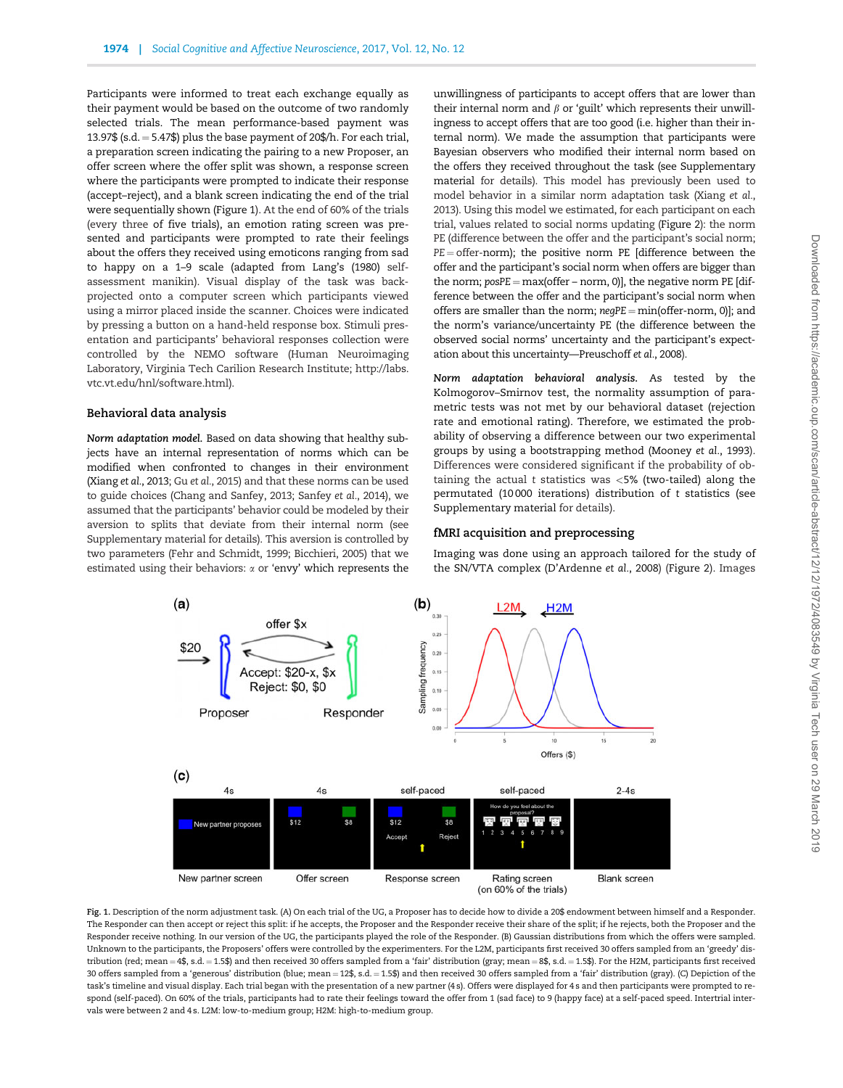Participants were informed to treat each exchange equally as their payment would be based on the outcome of two randomly selected trials. The mean performance-based payment was 13.97\$ (s.d.  $= 5.47$ \$) plus the base payment of 20\$/h. For each trial, a preparation screen indicating the pairing to a new Proposer, an offer screen where the offer split was shown, a response screen where the participants were prompted to indicate their response (accept–reject), and a blank screen indicating the end of the trial were sequentially shown (Figure 1). At the end of 60% of the trials (every three of five trials), an emotion rating screen was presented and participants were prompted to rate their feelings about the offers they received using emoticons ranging from sad to happy on a 1–9 scale (adapted from [Lang's \(1980\)](#page-9-0) selfassessment manikin). Visual display of the task was backprojected onto a computer screen which participants viewed using a mirror placed inside the scanner. Choices were indicated by pressing a button on a hand-held response box. Stimuli presentation and participants' behavioral responses collection were controlled by the NEMO software (Human Neuroimaging Laboratory, Virginia Tech Carilion Research Institute; [http://labs.](http://labs.vtc.vt.edu/hnl/software.html) [vtc.vt.edu/hnl/software.html](http://labs.vtc.vt.edu/hnl/software.html)).

#### Behavioral data analysis

Norm adaptation model. Based on data showing that healthy subjects have an internal representation of norms which can be modified when confronted to changes in their environment [\(Xiang](#page-10-0) et al., 2013; Gu et al.[, 2015](#page-9-0)) and that these norms can be used to guide choices [\(Chang and Sanfey, 2013](#page-9-0); [Sanfey](#page-10-0) et al., 2014), we assumed that the participants' behavior could be modeled by their aversion to splits that deviate from their internal norm (see Supplementary material for details). This aversion is controlled by two parameters [\(Fehr and Schmidt, 1999](#page-9-0); [Bicchieri, 2005\)](#page-9-0) that we estimated using their behaviors:  $\alpha$  or 'envy' which represents the

unwillingness of participants to accept offers that are lower than their internal norm and  $\beta$  or 'guilt' which represents their unwillingness to accept offers that are too good (i.e. higher than their internal norm). We made the assumption that participants were Bayesian observers who modified their internal norm based on the offers they received throughout the task (see Supplementary material for details). This model has previously been used to model behavior in a similar norm adaptation task [\(Xiang](#page-10-0) et al., [2013](#page-10-0)). Using this model we estimated, for each participant on each trial, values related to social norms updating [\(Figure 2\)](#page-3-0): the norm PE (difference between the offer and the participant's social norm;  $PE =$  offer-norm); the positive norm PE [difference between the offer and the participant's social norm when offers are bigger than the norm;  $posPE = max(offer - norm, 0)$ ], the negative norm PE [difference between the offer and the participant's social norm when offers are smaller than the norm;  $neqPE = min(offer-norm, 0)$ ]; and the norm's variance/uncertainty PE (the difference between the observed social norms' uncertainty and the participant's expectation about this uncertainty[—Preuschoff](#page-10-0) et al., 2008).

Norm adaptation behavioral analysis. As tested by the Kolmogorov–Smirnov test, the normality assumption of parametric tests was not met by our behavioral dataset (rejection rate and emotional rating). Therefore, we estimated the probability of observing a difference between our two experimental groups by using a bootstrapping method ([Mooney](#page-10-0) et al., 1993). Differences were considered significant if the probability of obtaining the actual t statistics was  $\langle 5\% \rangle$  (two-tailed) along the permutated (10 000 iterations) distribution of t statistics (see Supplementary material for details).

#### fMRI acquisition and preprocessing

Imaging was done using an approach tailored for the study of the SN/VTA complex [\(D'Ardenne](#page-9-0) et al., 2008) ([Figure 2\)](#page-3-0). Images



Fig. 1. Description of the norm adjustment task. (A) On each trial of the UG, a Proposer has to decide how to divide a 20\$ endowment between himself and a Responder. The Responder can then accept or reject this split: if he accepts, the Proposer and the Responder receive their share of the split; if he rejects, both the Proposer and the Responder receive nothing. In our version of the UG, the participants played the role of the Responder. (B) Gaussian distributions from which the offers were sampled. Unknown to the participants, the Proposers' offers were controlled by the experimenters. For the L2M, participants first received 30 offers sampled from an 'greedy' distribution (red; mean = 4\$, s.d. = 1.5\$) and then received 30 offers sampled from a 'fair' distribution (gray; mean = 8\$, s.d. = 1.5\$). For the H2M, participants first received 30 offers sampled from a 'generous' distribution (blue; mean = 12\$, s.d. = 1.5\$) and then received 30 offers sampled from a 'fair' distribution (gray). (C) Depiction of the task's timeline and visual display. Each trial began with the presentation of a new partner (4 s). Offers were displayed for 4 s and then participants were prompted to respond (self-paced). On 60% of the trials, participants had to rate their feelings toward the offer from 1 (sad face) to 9 (happy face) at a self-paced speed. Intertrial intervals were between 2 and 4 s. L2M: low-to-medium group; H2M: high-to-medium group.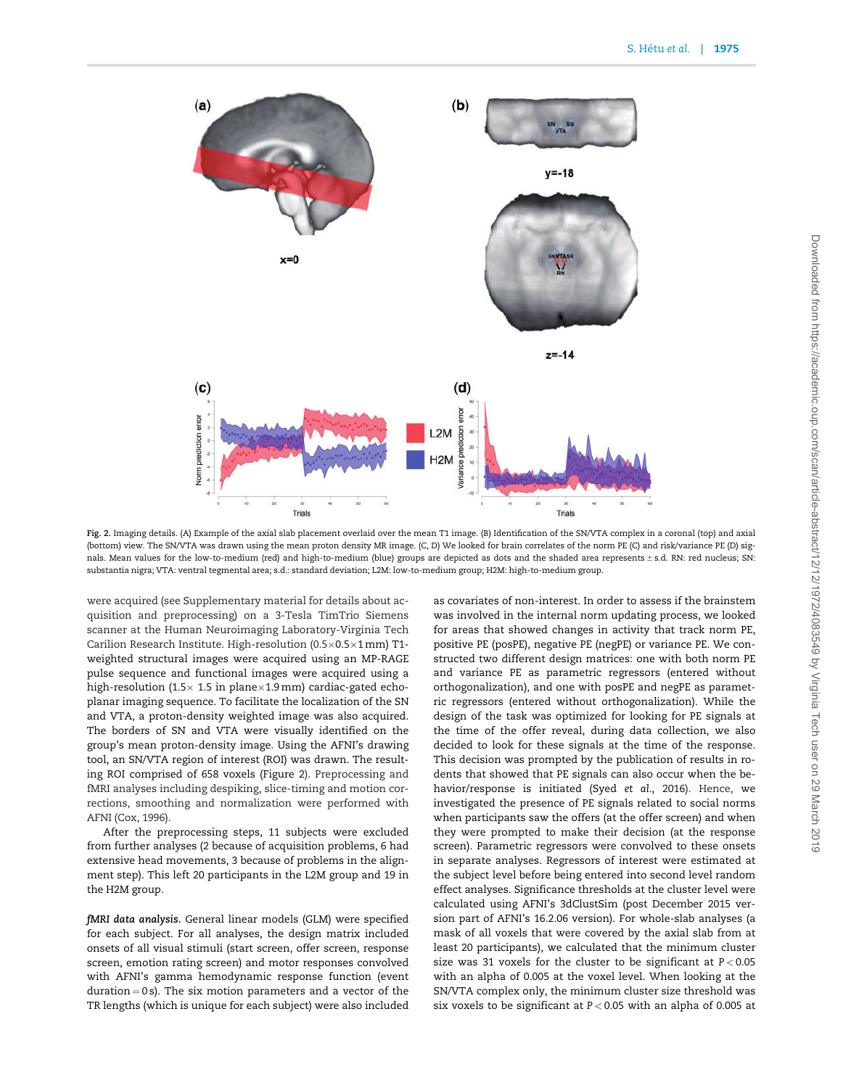<span id="page-3-0"></span>

Fig. 2. Imaging details. (A) Example of the axial slab placement overlaid over the mean T1 image. (B) Identification of the SN/VTA complex in a coronal (top) and axial (bottom) view. The SN/VTA was drawn using the mean proton density MR image. (C, D) We looked for brain correlates of the norm PE (C) and risk/variance PE (D) signals. Mean values for the low-to-medium (red) and high-to-medium (blue) groups are depicted as dots and the shaded area represents ± s.d. RN: red nucleus; SN: substantia nigra; VTA: ventral tegmental area; s.d.: standard deviation; L2M: low-to-medium group; H2M: high-to-medium group.

were acquired (see Supplementary material for details about acquisition and preprocessing) on a 3-Tesla TimTrio Siemens scanner at the Human Neuroimaging Laboratory-Virginia Tech Carilion Research Institute. High-resolution (0.5 $\times$ 0.5 $\times$ 1 mm) T1weighted structural images were acquired using an MP-RAGE pulse sequence and functional images were acquired using a high-resolution (1.5 $\times$  1.5 in plane $\times$ 1.9 mm) cardiac-gated echoplanar imaging sequence. To facilitate the localization of the SN and VTA, a proton-density weighted image was also acquired. The borders of SN and VTA were visually identified on the group's mean proton-density image. Using the AFNI's drawing tool, an SN/VTA region of interest (ROI) was drawn. The resulting ROI comprised of 658 voxels (Figure 2). Preprocessing and fMRI analyses including despiking, slice-timing and motion corrections, smoothing and normalization were performed with AFNI [\(Cox, 1996\)](#page-9-0).

After the preprocessing steps, 11 subjects were excluded from further analyses (2 because of acquisition problems, 6 had extensive head movements, 3 because of problems in the alignment step). This left 20 participants in the L2M group and 19 in the H2M group.

fMRI data analysis. General linear models (GLM) were specified for each subject. For all analyses, the design matrix included onsets of all visual stimuli (start screen, offer screen, response screen, emotion rating screen) and motor responses convolved with AFNI's gamma hemodynamic response function (event  $duration = 0$  s). The six motion parameters and a vector of the TR lengths (which is unique for each subject) were also included as covariates of non-interest. In order to assess if the brainstem was involved in the internal norm updating process, we looked for areas that showed changes in activity that track norm PE, positive PE (posPE), negative PE (negPE) or variance PE. We constructed two different design matrices: one with both norm PE and variance PE as parametric regressors (entered without orthogonalization), and one with posPE and negPE as parametric regressors (entered without orthogonalization). While the design of the task was optimized for looking for PE signals at the time of the offer reveal, during data collection, we also decided to look for these signals at the time of the response. This decision was prompted by the publication of results in rodents that showed that PE signals can also occur when the behavior/response is initiated (Syed et al.[, 2016\)](#page-10-0). Hence, we investigated the presence of PE signals related to social norms when participants saw the offers (at the offer screen) and when they were prompted to make their decision (at the response screen). Parametric regressors were convolved to these onsets in separate analyses. Regressors of interest were estimated at the subject level before being entered into second level random effect analyses. Significance thresholds at the cluster level were calculated using AFNI's 3dClustSim (post December 2015 version part of AFNI's 16.2.06 version). For whole-slab analyses (a mask of all voxels that were covered by the axial slab from at least 20 participants), we calculated that the minimum cluster size was 31 voxels for the cluster to be significant at  $P < 0.05$ with an alpha of 0.005 at the voxel level. When looking at the SN/VTA complex only, the minimum cluster size threshold was six voxels to be significant at P < 0.05 with an alpha of 0.005 at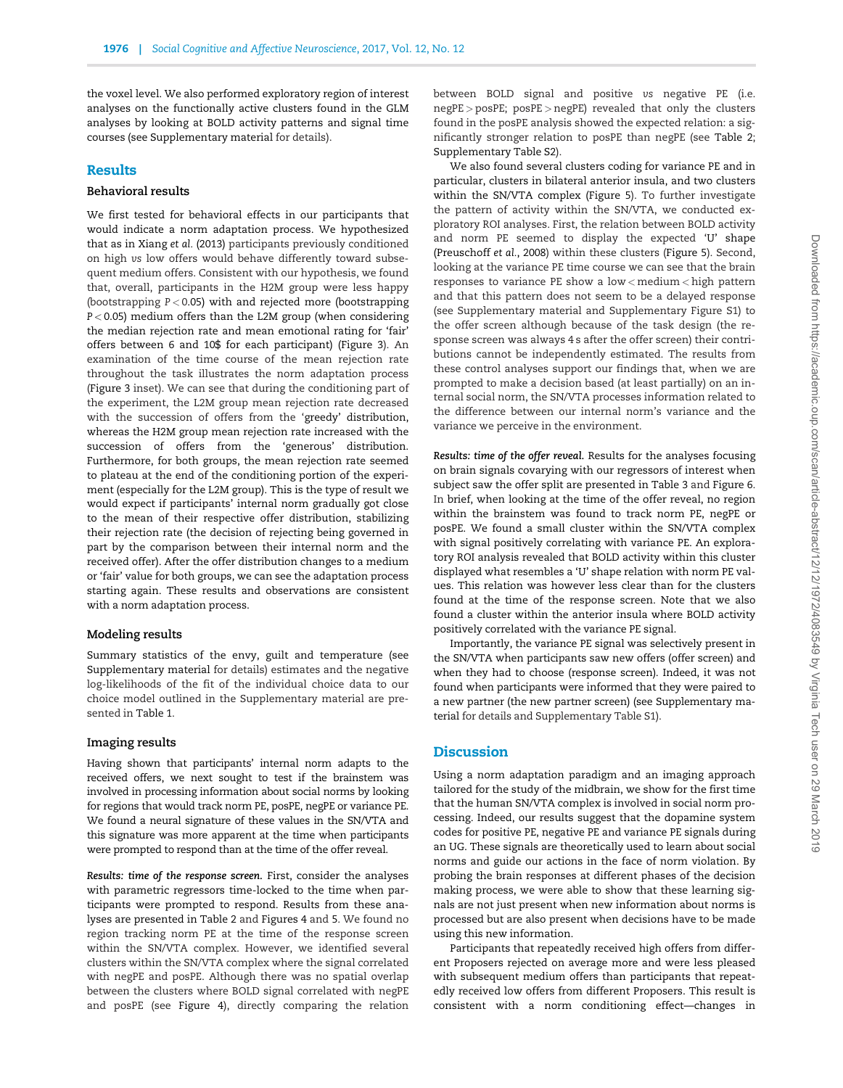the voxel level. We also performed exploratory region of interest analyses on the functionally active clusters found in the GLM analyses by looking at BOLD activity patterns and signal time courses (see Supplementary material for details).

#### Results

#### Behavioral results

We first tested for behavioral effects in our participants that would indicate a norm adaptation process. We hypothesized that as in Xiang et al. [\(2013\)](#page-10-0) participants previously conditioned on high vs low offers would behave differently toward subsequent medium offers. Consistent with our hypothesis, we found that, overall, participants in the H2M group were less happy (bootstrapping  $P < 0.05$ ) with and rejected more (bootstrapping P < 0.05) medium offers than the L2M group (when considering the median rejection rate and mean emotional rating for 'fair' offers between 6 and 10\$ for each participant) ([Figure 3\)](#page-5-0). An examination of the time course of the mean rejection rate throughout the task illustrates the norm adaptation process [\(Figure 3](#page-5-0) inset). We can see that during the conditioning part of the experiment, the L2M group mean rejection rate decreased with the succession of offers from the 'greedy' distribution, whereas the H2M group mean rejection rate increased with the succession of offers from the 'generous' distribution. Furthermore, for both groups, the mean rejection rate seemed to plateau at the end of the conditioning portion of the experiment (especially for the L2M group). This is the type of result we would expect if participants' internal norm gradually got close to the mean of their respective offer distribution, stabilizing their rejection rate (the decision of rejecting being governed in part by the comparison between their internal norm and the received offer). After the offer distribution changes to a medium or 'fair' value for both groups, we can see the adaptation process starting again. These results and observations are consistent with a norm adaptation process.

#### Modeling results

Summary statistics of the envy, guilt and temperature (see Supplementary material for details) estimates and the negative log-likelihoods of the fit of the individual choice data to our choice model outlined in the Supplementary material are presented in [Table 1](#page-5-0).

#### Imaging results

Having shown that participants' internal norm adapts to the received offers, we next sought to test if the brainstem was involved in processing information about social norms by looking for regions that would track norm PE, posPE, negPE or variance PE. We found a neural signature of these values in the SN/VTA and this signature was more apparent at the time when participants were prompted to respond than at the time of the offer reveal.

Results: time of the response screen. First, consider the analyses with parametric regressors time-locked to the time when participants were prompted to respond. Results from these analyses are presented in [Table 2](#page-6-0) and [Figures 4](#page-7-0) and [5](#page-7-0). We found no region tracking norm PE at the time of the response screen within the SN/VTA complex. However, we identified several clusters within the SN/VTA complex where the signal correlated with negPE and posPE. Although there was no spatial overlap between the clusters where BOLD signal correlated with negPE and posPE (see [Figure 4](#page-7-0)), directly comparing the relation

between BOLD signal and positive vs negative PE (i.e. negPE > posPE; posPE > negPE) revealed that only the clusters found in the posPE analysis showed the expected relation: a significantly stronger relation to posPE than negPE (see [Table 2](#page-6-0); Supplementary Table S2).

We also found several clusters coding for variance PE and in particular, clusters in bilateral anterior insula, and two clusters within the SN/VTA complex [\(Figure 5\)](#page-7-0). To further investigate the pattern of activity within the SN/VTA, we conducted exploratory ROI analyses. First, the relation between BOLD activity and norm PE seemed to display the expected 'U' shape [\(Preuschoff](#page-10-0) et al., 2008) within these clusters [\(Figure 5\)](#page-7-0). Second, looking at the variance PE time course we can see that the brain responses to variance PE show a low < medium < high pattern and that this pattern does not seem to be a delayed response (see Supplementary material and Supplementary Figure S1) to the offer screen although because of the task design (the response screen was always 4 s after the offer screen) their contributions cannot be independently estimated. The results from these control analyses support our findings that, when we are prompted to make a decision based (at least partially) on an internal social norm, the SN/VTA processes information related to the difference between our internal norm's variance and the variance we perceive in the environment.

Results: time of the offer reveal. Results for the analyses focusing on brain signals covarying with our regressors of interest when subject saw the offer split are presented in [Table 3](#page-8-0) and [Figure 6](#page-8-0). In brief, when looking at the time of the offer reveal, no region within the brainstem was found to track norm PE, negPE or posPE. We found a small cluster within the SN/VTA complex with signal positively correlating with variance PE. An exploratory ROI analysis revealed that BOLD activity within this cluster displayed what resembles a 'U' shape relation with norm PE values. This relation was however less clear than for the clusters found at the time of the response screen. Note that we also found a cluster within the anterior insula where BOLD activity positively correlated with the variance PE signal.

Importantly, the variance PE signal was selectively present in the SN/VTA when participants saw new offers (offer screen) and when they had to choose (response screen). Indeed, it was not found when participants were informed that they were paired to a new partner (the new partner screen) (see Supplementary material for details and Supplementary Table S1).

#### **Discussion**

Using a norm adaptation paradigm and an imaging approach tailored for the study of the midbrain, we show for the first time that the human SN/VTA complex is involved in social norm processing. Indeed, our results suggest that the dopamine system codes for positive PE, negative PE and variance PE signals during an UG. These signals are theoretically used to learn about social norms and guide our actions in the face of norm violation. By probing the brain responses at different phases of the decision making process, we were able to show that these learning signals are not just present when new information about norms is processed but are also present when decisions have to be made using this new information.

Participants that repeatedly received high offers from different Proposers rejected on average more and were less pleased with subsequent medium offers than participants that repeatedly received low offers from different Proposers. This result is consistent with a norm conditioning effect—changes in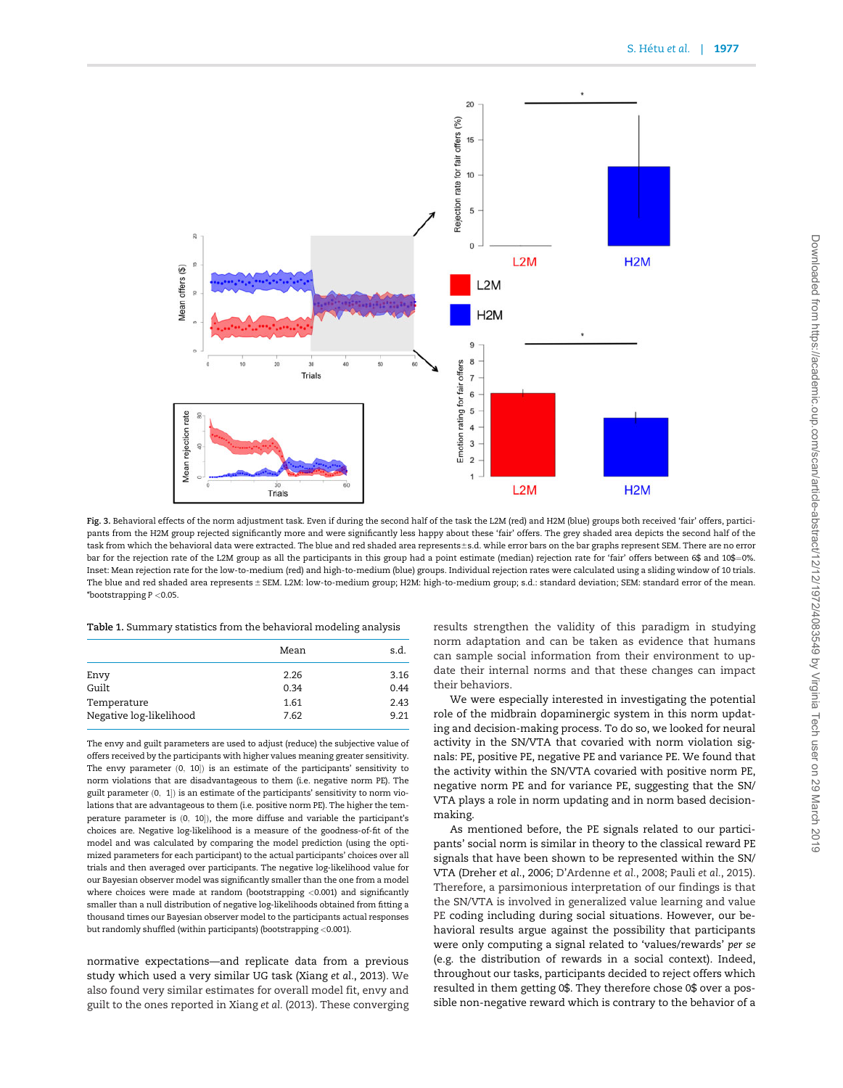<span id="page-5-0"></span>

Fig. 3. Behavioral effects of the norm adjustment task. Even if during the second half of the task the L2M (red) and H2M (blue) groups both received 'fair' offers, participants from the H2M group rejected significantly more and were significantly less happy about these 'fair' offers. The grey shaded area depicts the second half of the task from which the behavioral data were extracted. The blue and red shaded area represents±s.d. while error bars on the bar graphs represent SEM. There are no error bar for the rejection rate of the L2M group as all the participants in this group had a point estimate (median) rejection rate for 'fair' offers between 6\$ and 10\$=0%. Inset: Mean rejection rate for the low-to-medium (red) and high-to-medium (blue) groups. Individual rejection rates were calculated using a sliding window of 10 trials. The blue and red shaded area represents ± SEM. L2M: low-to-medium group; H2M: high-to-medium group; s.d.: standard deviation; SEM: standard error of the mean. \*bootstrapping P <0.05.

Table 1. Summary statistics from the behavioral modeling analysis

|                         | Mean | s.d. |
|-------------------------|------|------|
| Envy                    | 2.26 | 3.16 |
| Guilt                   | 0.34 | 0.44 |
| Temperature             | 1.61 | 2.43 |
| Negative log-likelihood | 7.62 | 9.21 |

The envy and guilt parameters are used to adjust (reduce) the subjective value of offers received by the participants with higher values meaning greater sensitivity. The envy parameter  $(0, 10)$  is an estimate of the participants' sensitivity to norm violations that are disadvantageous to them (i.e. negative norm PE). The guilt parameter  $(0, 1]$ ) is an estimate of the participants' sensitivity to norm violations that are advantageous to them (i.e. positive norm PE). The higher the temperature parameter is  $(0, 10]$ ), the more diffuse and variable the participant's choices are. Negative log-likelihood is a measure of the goodness-of-fit of the model and was calculated by comparing the model prediction (using the optimized parameters for each participant) to the actual participants' choices over all trials and then averaged over participants. The negative log-likelihood value for our Bayesian observer model was significantly smaller than the one from a model where choices were made at random (bootstrapping  $<$  0.001) and significantly smaller than a null distribution of negative log-likelihoods obtained from fitting a thousand times our Bayesian observer model to the participants actual responses but randomly shuffled (within participants) (bootstrapping <0.001).

normative expectations—and replicate data from a previous study which used a very similar UG task [\(Xiang](#page-10-0) et al., 2013). We also found very similar estimates for overall model fit, envy and guilt to the ones reported in Xiang et al. [\(2013\).](#page-10-0) These converging results strengthen the validity of this paradigm in studying norm adaptation and can be taken as evidence that humans can sample social information from their environment to update their internal norms and that these changes can impact their behaviors.

We were especially interested in investigating the potential role of the midbrain dopaminergic system in this norm updating and decision-making process. To do so, we looked for neural activity in the SN/VTA that covaried with norm violation signals: PE, positive PE, negative PE and variance PE. We found that the activity within the SN/VTA covaried with positive norm PE, negative norm PE and for variance PE, suggesting that the SN/ VTA plays a role in norm updating and in norm based decisionmaking.

As mentioned before, the PE signals related to our participants' social norm is similar in theory to the classical reward PE signals that have been shown to be represented within the SN/ VTA ([Dreher](#page-9-0) et al., 2006; [D'Ardenne](#page-9-0) et al., 2008; Pauli et al.[, 2015\)](#page-10-0). Therefore, a parsimonious interpretation of our findings is that the SN/VTA is involved in generalized value learning and value PE coding including during social situations. However, our behavioral results argue against the possibility that participants were only computing a signal related to 'values/rewards' per se (e.g. the distribution of rewards in a social context). Indeed, throughout our tasks, participants decided to reject offers which resulted in them getting 0\$. They therefore chose 0\$ over a possible non-negative reward which is contrary to the behavior of a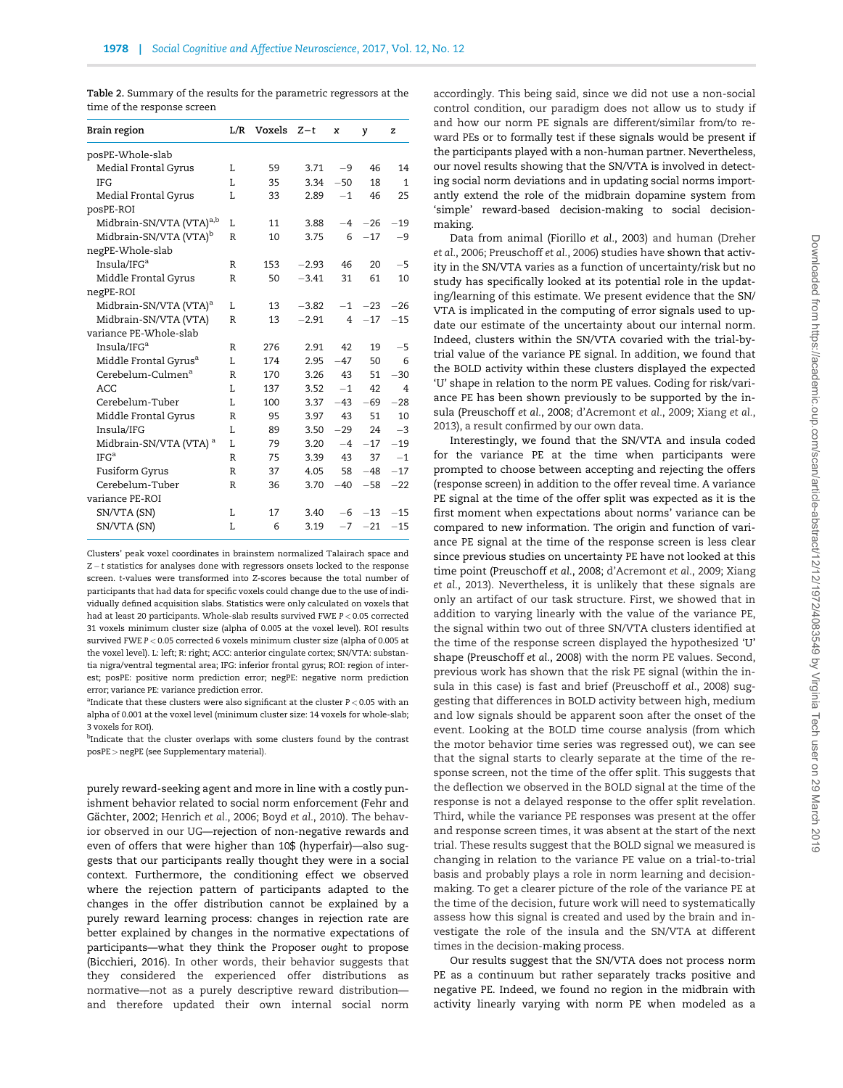<span id="page-6-0"></span>Table 2. Summary of the results for the parametric regressors at the time of the response screen

| Brain region                         | L/R          | Voxels | $Z-t$   | x              | y     | z              |
|--------------------------------------|--------------|--------|---------|----------------|-------|----------------|
| posPE-Whole-slab                     |              |        |         |                |       |                |
| Medial Frontal Gyrus                 | L            | 59     | 3.71    | $-9$           | 46    | 14             |
| <b>IFG</b>                           | T.           | 35     | 3.34    | $-50$          | 18    | $\mathbf{1}$   |
| Medial Frontal Gyrus                 | T.           | 33     | 2.89    | $-1$           | 46    | 25             |
| posPE-ROI                            |              |        |         |                |       |                |
| Midbrain-SN/VTA (VTA) <sup>a,b</sup> | L            | 11     | 3.88    | $-4$           | $-26$ | $-19$          |
| Midbrain-SN/VTA (VTA) <sup>b</sup>   | R            | 10     | 3.75    | 6              | $-17$ | -9             |
| negPE-Whole-slab                     |              |        |         |                |       |                |
| Insula/IF $G^a$                      | R            | 153    | $-2.93$ | 46             | 20    | $-5$           |
| Middle Frontal Gyrus                 | $\mathbb{R}$ | 50     | $-3.41$ | 31             | 61    | 10             |
| negPE-ROI                            |              |        |         |                |       |                |
| Midbrain-SN/VTA (VTA) <sup>a</sup>   | L.           | 13     | $-3.82$ | $-1$           | $-23$ | $-26$          |
| Midbrain-SN/VTA (VTA)                | R            | 13     | $-2.91$ | $\overline{4}$ | $-17$ | $-15$          |
| variance PE-Whole-slab               |              |        |         |                |       |                |
| Insula/IFG <sup>a</sup>              | R            | 276    | 2.91    | 42             | 19    | $-5$           |
| Middle Frontal Gyrus <sup>a</sup>    | L            | 174    | 2.95    | $-47$          | 50    | 6              |
| Cerebelum-Culmen <sup>a</sup>        | R            | 170    | 3.26    | 43             | 51    | $-30$          |
| ACC                                  | T.           | 137    | 3.52    | $-1$           | 42    | $\overline{4}$ |
| Cerebelum-Tuber                      | L            | 100    | 3.37    | $-43$          | $-69$ | $-28$          |
| Middle Frontal Gyrus                 | $\mathbb{R}$ | 95     | 3.97    | 43             | 51    | 10             |
| Insula/IFG                           | L            | 89     | 3.50    | $-29$          | 24    | $-3$           |
| Midbrain-SN/VTA (VTA) <sup>a</sup>   | L            | 79     | 3.20    | $-4$           | $-17$ | $-19$          |
| IFG <sup>a</sup>                     | R            | 75     | 3.39    | 43             | 37    | $-1$           |
| Fusiform Gyrus                       | $\mathbb{R}$ | 37     | 4.05    | 58             | $-48$ | $-17$          |
| Cerebelum-Tuber                      | R            | 36     | 3.70    | $-40$          | $-58$ | $-22$          |
| variance PE-ROI                      |              |        |         |                |       |                |
| SN/VTA (SN)                          | L            | 17     | 3.40    | $-6$           | $-13$ | $-15$          |
| SN/VTA (SN)                          | L            | 6      | 3.19    | $-7$           | $-21$ | $-15$          |

Clusters' peak voxel coordinates in brainstem normalized Talairach space and  $Z - t$  statistics for analyses done with regressors onsets locked to the response screen. t-values were transformed into Z-scores because the total number of participants that had data for specific voxels could change due to the use of individually defined acquisition slabs. Statistics were only calculated on voxels that had at least 20 participants. Whole-slab results survived FWE P < 0.05 corrected 31 voxels minimum cluster size (alpha of 0.005 at the voxel level). ROI results survived FWE P < 0.05 corrected 6 voxels minimum cluster size (alpha of 0.005 at the voxel level). L: left; R: right; ACC: anterior cingulate cortex; SN/VTA: substantia nigra/ventral tegmental area; IFG: inferior frontal gyrus; ROI: region of interest; posPE: positive norm prediction error; negPE: negative norm prediction error; variance PE: variance prediction error.

<sup>a</sup>Indicate that these clusters were also significant at the cluster  $P < 0.05$  with an alpha of 0.001 at the voxel level (minimum cluster size: 14 voxels for whole-slab; 3 voxels for ROI).

<sup>b</sup>Indicate that the cluster overlaps with some clusters found by the contrast posPE > negPE (see Supplementary material).

purely reward-seeking agent and more in line with a costly punishment behavior related to social norm enforcement ([Fehr and](#page-9-0) Gächter, 2002; Henrich et al., 2006; Boyd et al.[, 2010\)](#page-9-0). The behavior observed in our UG—rejection of non-negative rewards and even of offers that were higher than 10\$ (hyperfair)—also suggests that our participants really thought they were in a social context. Furthermore, the conditioning effect we observed where the rejection pattern of participants adapted to the changes in the offer distribution cannot be explained by a purely reward learning process: changes in rejection rate are better explained by changes in the normative expectations of participants—what they think the Proposer ought to propose [\(Bicchieri, 2016](#page-9-0)). In other words, their behavior suggests that they considered the experienced offer distributions as normative—not as a purely descriptive reward distribution and therefore updated their own internal social norm

accordingly. This being said, since we did not use a non-social control condition, our paradigm does not allow us to study if and how our norm PE signals are different/similar from/to reward PEs or to formally test if these signals would be present if the participants played with a non-human partner. Nevertheless, our novel results showing that the SN/VTA is involved in detecting social norm deviations and in updating social norms importantly extend the role of the midbrain dopamine system from 'simple' reward-based decision-making to social decisionmaking.

Data from animal [\(Fiorillo](#page-9-0) et al., 2003) and human ([Dreher](#page-9-0) et al.[, 2006;](#page-9-0) [Preuschoff](#page-10-0) et al., 2006) studies have shown that activity in the SN/VTA varies as a function of uncertainty/risk but no study has specifically looked at its potential role in the updating/learning of this estimate. We present evidence that the SN/ VTA is implicated in the computing of error signals used to update our estimate of the uncertainty about our internal norm. Indeed, clusters within the SN/VTA covaried with the trial-bytrial value of the variance PE signal. In addition, we found that the BOLD activity within these clusters displayed the expected 'U' shape in relation to the norm PE values. Coding for risk/variance PE has been shown previously to be supported by the insula [\(Preuschoff](#page-10-0) et al., 2008; [d'Acremont](#page-9-0) et al., 2009; [Xiang](#page-10-0) et al., [2013\)](#page-10-0), a result confirmed by our own data.

Interestingly, we found that the SN/VTA and insula coded for the variance PE at the time when participants were prompted to choose between accepting and rejecting the offers (response screen) in addition to the offer reveal time. A variance PE signal at the time of the offer split was expected as it is the first moment when expectations about norms' variance can be compared to new information. The origin and function of variance PE signal at the time of the response screen is less clear since previous studies on uncertainty PE have not looked at this time point [\(Preuschoff](#page-10-0) et al., 2008; [d'Acremont](#page-9-0) et al., 2009; [Xiang](#page-10-0) et al.[, 2013\)](#page-10-0). Nevertheless, it is unlikely that these signals are only an artifact of our task structure. First, we showed that in addition to varying linearly with the value of the variance PE, the signal within two out of three SN/VTA clusters identified at the time of the response screen displayed the hypothesized 'U' shape ([Preuschoff](#page-10-0) et al., 2008) with the norm PE values. Second, previous work has shown that the risk PE signal (within the insula in this case) is fast and brief [\(Preuschoff](#page-10-0) et al., 2008) suggesting that differences in BOLD activity between high, medium and low signals should be apparent soon after the onset of the event. Looking at the BOLD time course analysis (from which the motor behavior time series was regressed out), we can see that the signal starts to clearly separate at the time of the response screen, not the time of the offer split. This suggests that the deflection we observed in the BOLD signal at the time of the response is not a delayed response to the offer split revelation. Third, while the variance PE responses was present at the offer and response screen times, it was absent at the start of the next trial. These results suggest that the BOLD signal we measured is changing in relation to the variance PE value on a trial-to-trial basis and probably plays a role in norm learning and decisionmaking. To get a clearer picture of the role of the variance PE at the time of the decision, future work will need to systematically assess how this signal is created and used by the brain and investigate the role of the insula and the SN/VTA at different times in the decision-making process.

Our results suggest that the SN/VTA does not process norm PE as a continuum but rather separately tracks positive and negative PE. Indeed, we found no region in the midbrain with activity linearly varying with norm PE when modeled as a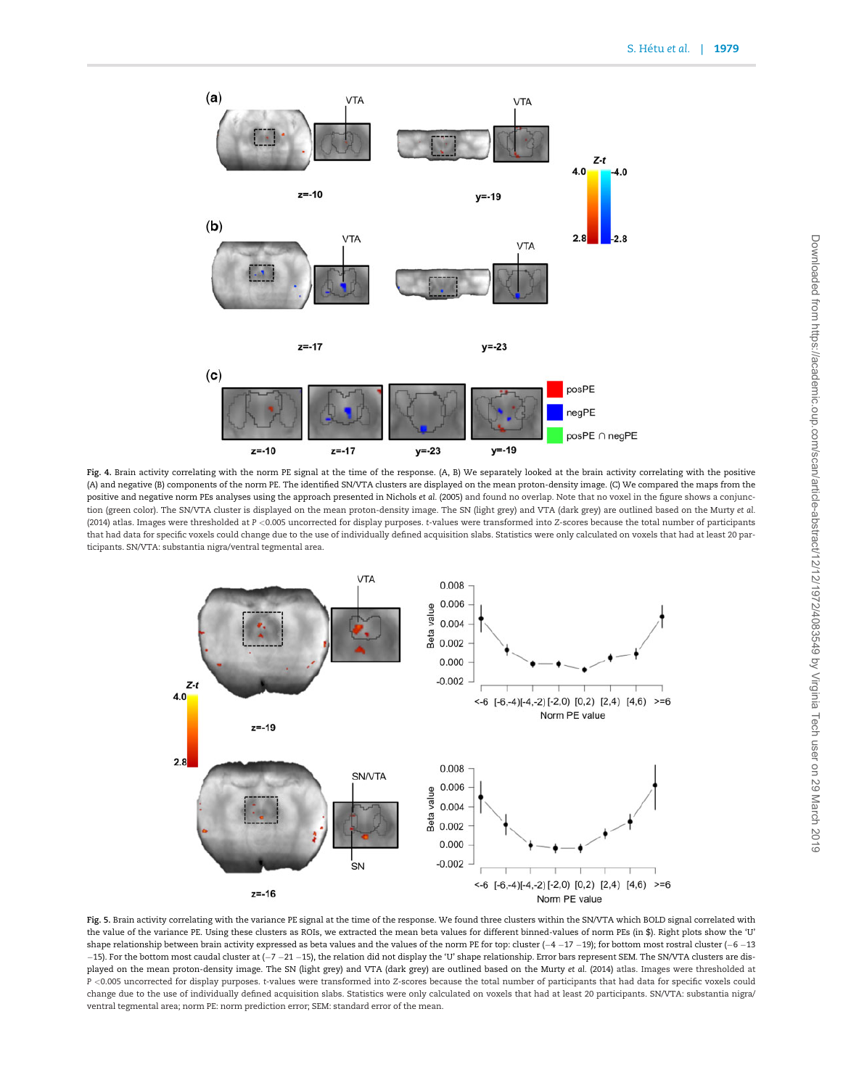<span id="page-7-0"></span>

Fig. 4. Brain activity correlating with the norm PE signal at the time of the response. (A, B) We separately looked at the brain activity correlating with the positive (A) and negative (B) components of the norm PE. The identified SN/VTA clusters are displayed on the mean proton-density image. (C) We compared the maps from the positive and negative norm PEs analyses using the approach presented in [Nichols](#page-10-0) et al. (2005) and found no overlap. Note that no voxel in the figure shows a conjunction (green color). The SN/VTA cluster is displayed on the mean proton-density image. The SN (light grey) and VTA (dark grey) are outlined based on the [Murty](#page-10-0) et al. [\(2014\)](#page-10-0) atlas. Images were thresholded at P <0.005 uncorrected for display purposes. t-values were transformed into Z-scores because the total number of participants that had data for specific voxels could change due to the use of individually defined acquisition slabs. Statistics were only calculated on voxels that had at least 20 participants. SN/VTA: substantia nigra/ventral tegmental area.



Fig. 5. Brain activity correlating with the variance PE signal at the time of the response. We found three clusters within the SN/VTA which BOLD signal correlated with the value of the variance PE. Using these clusters as ROIs, we extracted the mean beta values for different binned-values of norm PEs (in \$). Right plots show the 'U' shape relationship between brain activity expressed as beta values and the values of the norm PE for top: cluster  $(-4 - 17 - 19)$ ; for bottom most rostral cluster  $(-6 - 13)$ -15). For the bottom most caudal cluster at (-7 -21 -15), the relation did not display the 'U' shape relationship. Error bars represent SEM. The SN/VTA clusters are displayed on the mean proton-density image. The SN (light grey) and VTA (dark grey) are outlined based on the [Murty](#page-10-0) et al. (2014) atlas. Images were thresholded at P <0.005 uncorrected for display purposes. t-values were transformed into Z-scores because the total number of participants that had data for specific voxels could change due to the use of individually defined acquisition slabs. Statistics were only calculated on voxels that had at least 20 participants. SN/VTA: substantia nigra/ ventral tegmental area; norm PE: norm prediction error; SEM: standard error of the mean.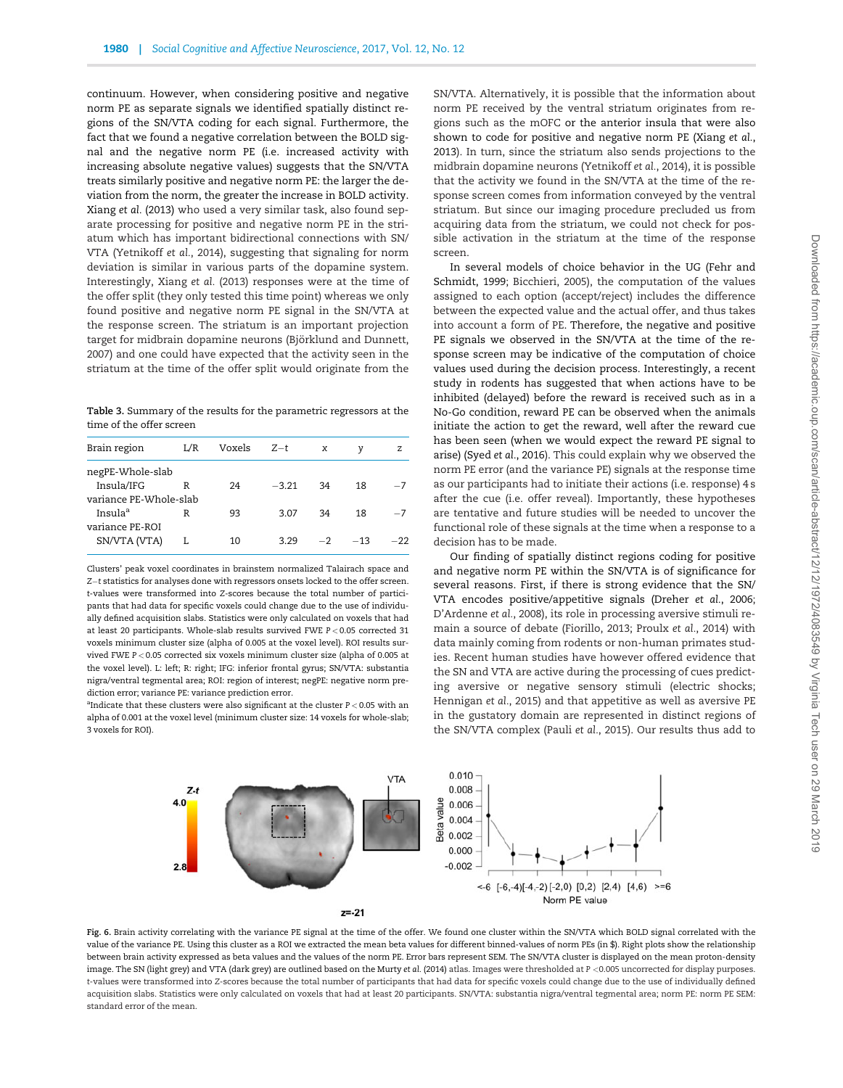<span id="page-8-0"></span>continuum. However, when considering positive and negative norm PE as separate signals we identified spatially distinct regions of the SN/VTA coding for each signal. Furthermore, the fact that we found a negative correlation between the BOLD signal and the negative norm PE (i.e. increased activity with increasing absolute negative values) suggests that the SN/VTA treats similarly positive and negative norm PE: the larger the deviation from the norm, the greater the increase in BOLD activity. Xiang et al. [\(2013\)](#page-10-0) who used a very similar task, also found separate processing for positive and negative norm PE in the striatum which has important bidirectional connections with SN/ VTA [\(Yetnikoff](#page-10-0) et al., 2014), suggesting that signaling for norm deviation is similar in various parts of the dopamine system. Interestingly, Xiang et al. [\(2013\)](#page-10-0) responses were at the time of the offer split (they only tested this time point) whereas we only found positive and negative norm PE signal in the SN/VTA at the response screen. The striatum is an important projection target for midbrain dopamine neurons (Björklund and Dunnett, [2007\)](#page-9-0) and one could have expected that the activity seen in the striatum at the time of the offer split would originate from the

Table 3. Summary of the results for the parametric regressors at the time of the offer screen

| Brain region           | L/R | Voxels | $Z-t$   | $\boldsymbol{\mathsf{x}}$ | ν     | z     |
|------------------------|-----|--------|---------|---------------------------|-------|-------|
| negPE-Whole-slab       |     |        |         |                           |       |       |
| Insula/IFG             | R   | 24     | $-3.21$ | 34                        | 18    | $-7$  |
| variance PE-Whole-slab |     |        |         |                           |       |       |
| Insula <sup>a</sup>    | R   | 93     | 3.07    | 34                        | 18    | $-7$  |
| variance PE-ROI        |     |        |         |                           |       |       |
| SN/VTA (VTA)           |     | 10     | 3.29    | $-2$                      | $-13$ | $-22$ |
|                        |     |        |         |                           |       |       |

Clusters' peak voxel coordinates in brainstem normalized Talairach space and Z-t statistics for analyses done with regressors onsets locked to the offer screen. t-values were transformed into Z-scores because the total number of participants that had data for specific voxels could change due to the use of individually defined acquisition slabs. Statistics were only calculated on voxels that had at least 20 participants. Whole-slab results survived FWE P < 0.05 corrected 31 voxels minimum cluster size (alpha of 0.005 at the voxel level). ROI results survived FWE P < 0.05 corrected six voxels minimum cluster size (alpha of 0.005 at the voxel level). L: left; R: right; IFG: inferior frontal gyrus; SN/VTA: substantia nigra/ventral tegmental area; ROI: region of interest; negPE: negative norm prediction error; variance PE: variance prediction error.

<sup>a</sup>Indicate that these clusters were also significant at the cluster  $P < 0.05$  with an alpha of 0.001 at the voxel level (minimum cluster size: 14 voxels for whole-slab; 3 voxels for ROI).

SN/VTA. Alternatively, it is possible that the information about norm PE received by the ventral striatum originates from regions such as the mOFC or the anterior insula that were also shown to code for positive and negative norm PE ([Xiang](#page-10-0) et al., [2013\)](#page-10-0). In turn, since the striatum also sends projections to the midbrain dopamine neurons ([Yetnikoff](#page-10-0) et al., 2014), it is possible that the activity we found in the SN/VTA at the time of the response screen comes from information conveyed by the ventral striatum. But since our imaging procedure precluded us from acquiring data from the striatum, we could not check for possible activation in the striatum at the time of the response screen.

In several models of choice behavior in the UG [\(Fehr and](#page-9-0) [Schmidt, 1999; Bicchieri, 2005](#page-9-0)), the computation of the values assigned to each option (accept/reject) includes the difference between the expected value and the actual offer, and thus takes into account a form of PE. Therefore, the negative and positive PE signals we observed in the SN/VTA at the time of the response screen may be indicative of the computation of choice values used during the decision process. Interestingly, a recent study in rodents has suggested that when actions have to be inhibited (delayed) before the reward is received such as in a No-Go condition, reward PE can be observed when the animals initiate the action to get the reward, well after the reward cue has been seen (when we would expect the reward PE signal to arise) (Syed et al.[, 2016\)](#page-10-0). This could explain why we observed the norm PE error (and the variance PE) signals at the response time as our participants had to initiate their actions (i.e. response) 4 s after the cue (i.e. offer reveal). Importantly, these hypotheses are tentative and future studies will be needed to uncover the functional role of these signals at the time when a response to a decision has to be made.

Our finding of spatially distinct regions coding for positive and negative norm PE within the SN/VTA is of significance for several reasons. First, if there is strong evidence that the SN/ VTA encodes positive/appetitive signals ([Dreher](#page-9-0) et al., 2006; [D'Ardenne](#page-9-0) et al., 2008), its role in processing aversive stimuli remain a source of debate ([Fiorillo, 2013;](#page-9-0) [Proulx](#page-10-0) et al., 2014) with data mainly coming from rodents or non-human primates studies. Recent human studies have however offered evidence that the SN and VTA are active during the processing of cues predicting aversive or negative sensory stimuli (electric shocks; [Hennigan](#page-9-0) et al., 2015) and that appetitive as well as aversive PE in the gustatory domain are represented in distinct regions of the SN/VTA complex (Pauli et al.[, 2015](#page-10-0)). Our results thus add to



Fig. 6. Brain activity correlating with the variance PE signal at the time of the offer. We found one cluster within the SN/VTA which BOLD signal correlated with the value of the variance PE. Using this cluster as a ROI we extracted the mean beta values for different binned-values of norm PEs (in \$). Right plots show the relationship between brain activity expressed as beta values and the values of the norm PE. Error bars represent SEM. The SN/VTA cluster is displayed on the mean proton-density image. The SN (light grey) and VTA (dark grey) are outlined based on the [Murty](#page-10-0) et al. (2014) atlas. Images were thresholded at P <0.005 uncorrected for display purposes. t-values were transformed into Z-scores because the total number of participants that had data for specific voxels could change due to the use of individually defined acquisition slabs. Statistics were only calculated on voxels that had at least 20 participants. SN/VTA: substantia nigra/ventral tegmental area; norm PE: norm PE SEM: standard error of the mean.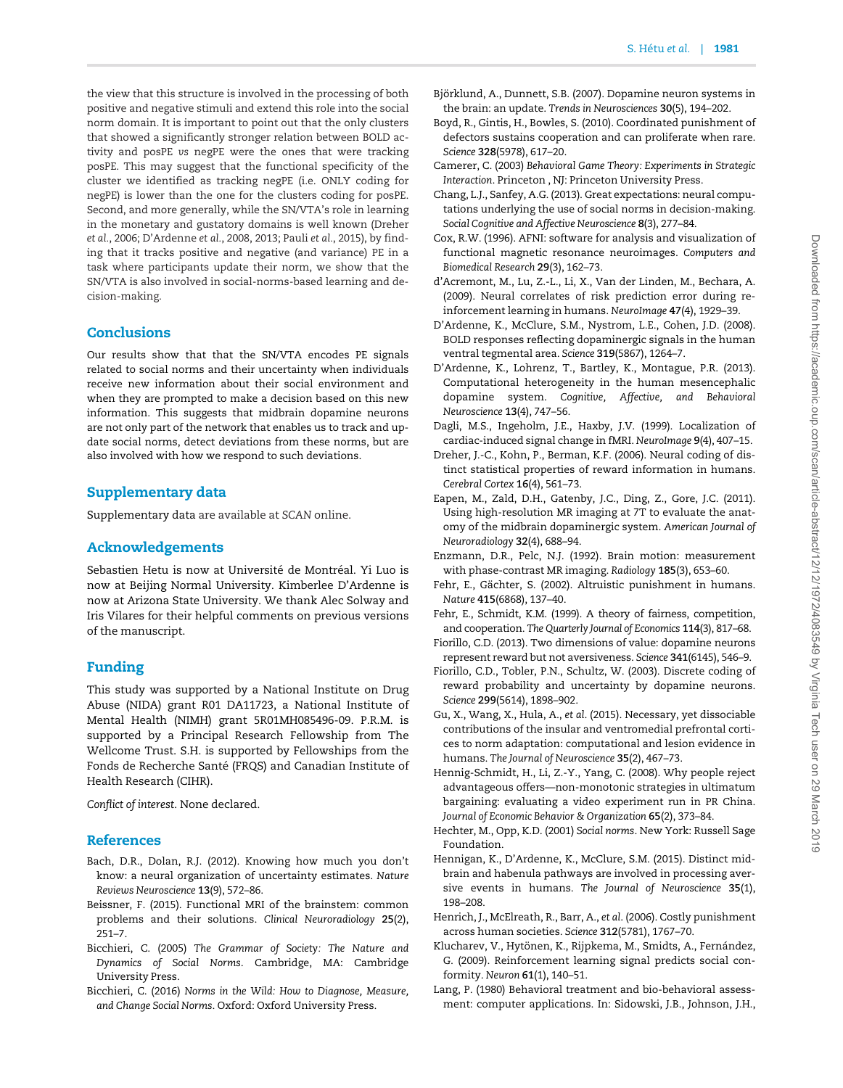<span id="page-9-0"></span>the view that this structure is involved in the processing of both positive and negative stimuli and extend this role into the social norm domain. It is important to point out that the only clusters that showed a significantly stronger relation between BOLD activity and posPE vs negPE were the ones that were tracking posPE. This may suggest that the functional specificity of the cluster we identified as tracking negPE (i.e. ONLY coding for negPE) is lower than the one for the clusters coding for posPE. Second, and more generally, while the SN/VTA's role in learning in the monetary and gustatory domains is well known (Dreher et al., 2006; D'Ardenne et al., 2008, 2013; Pauli et al.[, 2015](#page-10-0)), by finding that it tracks positive and negative (and variance) PE in a task where participants update their norm, we show that the SN/VTA is also involved in social-norms-based learning and decision-making.

## **Conclusions**

Our results show that that the SN/VTA encodes PE signals related to social norms and their uncertainty when individuals receive new information about their social environment and when they are prompted to make a decision based on this new information. This suggests that midbrain dopamine neurons are not only part of the network that enables us to track and update social norms, detect deviations from these norms, but are also involved with how we respond to such deviations.

# Supplementary data

Supplementary data are available at SCAN online.

## Acknowledgements

Sebastien Hetu is now at Université de Montréal. Yi Luo is now at Beijing Normal University. Kimberlee D'Ardenne is now at Arizona State University. We thank Alec Solway and Iris Vilares for their helpful comments on previous versions of the manuscript.

# Funding

This study was supported by a National Institute on Drug Abuse (NIDA) grant R01 DA11723, a National Institute of Mental Health (NIMH) grant 5R01MH085496-09. P.R.M. is supported by a Principal Research Fellowship from The Wellcome Trust. S.H. is supported by Fellowships from the Fonds de Recherche Santé (FRQS) and Canadian Institute of Health Research (CIHR).

Conflict of interest. None declared.

## **References**

- Bach, D.R., Dolan, R.J. (2012). Knowing how much you don't know: a neural organization of uncertainty estimates. Nature Reviews Neuroscience 13(9), 572–86.
- Beissner, F. (2015). Functional MRI of the brainstem: common problems and their solutions. Clinical Neuroradiology 25(2), 251–7.
- Bicchieri, C. (2005) The Grammar of Society: The Nature and Dynamics of Social Norms. Cambridge, MA: Cambridge University Press.
- Bicchieri, C. (2016) Norms in the Wild: How to Diagnose, Measure, and Change Social Norms. Oxford: Oxford University Press.
- Björklund, A., Dunnett, S.B. (2007). Dopamine neuron systems in the brain: an update. Trends in Neurosciences 30(5), 194–202.
- Boyd, R., Gintis, H., Bowles, S. (2010). Coordinated punishment of defectors sustains cooperation and can proliferate when rare. Science 328(5978), 617–20.
- Camerer, C. (2003) Behavioral Game Theory: Experiments in Strategic Interaction. Princeton , NJ: Princeton University Press.
- Chang, L.J., Sanfey, A.G. (2013). Great expectations: neural computations underlying the use of social norms in decision-making. Social Cognitive and Affective Neuroscience 8(3), 277–84.
- Cox, R.W. (1996). AFNI: software for analysis and visualization of functional magnetic resonance neuroimages. Computers and Biomedical Research 29(3), 162–73.
- d'Acremont, M., Lu, Z.-L., Li, X., Van der Linden, M., Bechara, A. (2009). Neural correlates of risk prediction error during reinforcement learning in humans. NeuroImage 47(4), 1929–39.
- D'Ardenne, K., McClure, S.M., Nystrom, L.E., Cohen, J.D. (2008). BOLD responses reflecting dopaminergic signals in the human ventral tegmental area. Science 319(5867), 1264–7.
- D'Ardenne, K., Lohrenz, T., Bartley, K., Montague, P.R. (2013). Computational heterogeneity in the human mesencephalic dopamine system. Cognitive, Affective, and Behavioral Neuroscience 13(4), 747–56.
- Dagli, M.S., Ingeholm, J.E., Haxby, J.V. (1999). Localization of cardiac-induced signal change in fMRI. NeuroImage 9(4), 407–15.
- Dreher, J.-C., Kohn, P., Berman, K.F. (2006). Neural coding of distinct statistical properties of reward information in humans. Cerebral Cortex 16(4), 561–73.
- Eapen, M., Zald, D.H., Gatenby, J.C., Ding, Z., Gore, J.C. (2011). Using high-resolution MR imaging at 7T to evaluate the anatomy of the midbrain dopaminergic system. American Journal of Neuroradiology 32(4), 688–94.
- Enzmann, D.R., Pelc, N.J. (1992). Brain motion: measurement with phase-contrast MR imaging. Radiology 185(3), 653–60.
- Fehr, E., Gächter, S. (2002). Altruistic punishment in humans. Nature 415(6868), 137–40.
- Fehr, E., Schmidt, K.M. (1999). A theory of fairness, competition, and cooperation. The Quarterly Journal of Economics 114(3), 817–68.
- Fiorillo, C.D. (2013). Two dimensions of value: dopamine neurons represent reward but not aversiveness. Science 341(6145), 546–9.
- Fiorillo, C.D., Tobler, P.N., Schultz, W. (2003). Discrete coding of reward probability and uncertainty by dopamine neurons. Science 299(5614), 1898–902.
- Gu, X., Wang, X., Hula, A., et al. (2015). Necessary, yet dissociable contributions of the insular and ventromedial prefrontal cortices to norm adaptation: computational and lesion evidence in humans. The Journal of Neuroscience 35(2), 467–73.
- Hennig-Schmidt, H., Li, Z.-Y., Yang, C. (2008). Why people reject advantageous offers—non-monotonic strategies in ultimatum bargaining: evaluating a video experiment run in PR China. Journal of Economic Behavior & Organization 65(2), 373–84.
- Hechter, M., Opp, K.D. (2001) Social norms. New York: Russell Sage Foundation.
- Hennigan, K., D'Ardenne, K., McClure, S.M. (2015). Distinct midbrain and habenula pathways are involved in processing aversive events in humans. The Journal of Neuroscience 35(1), 198–208.
- Henrich, J., McElreath, R., Barr, A., et al. (2006). Costly punishment across human societies. Science 312(5781), 1767–70.
- Klucharev, V., Hytönen, K., Rijpkema, M., Smidts, A., Fernández, G. (2009). Reinforcement learning signal predicts social conformity. Neuron 61(1), 140–51.
- Lang, P. (1980) Behavioral treatment and bio-behavioral assessment: computer applications. In: Sidowski, J.B., Johnson, J.H.,